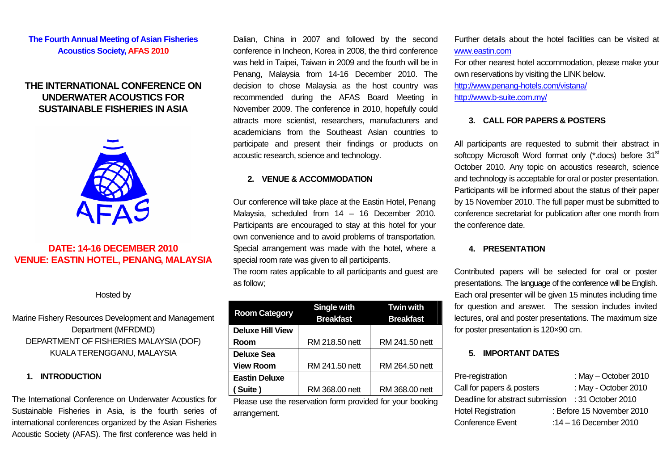# **The Fourth Annual Meeting of Asian Fisheries Acoustics Society, AFAS 2010**

# **THE INTERNATIONAL CONFERENCE ON UNDERWATER ACOUSTICS FOR SUSTAINABLE FISHERIES IN ASIA**



# **DATE: 14-16 DECEMBER 2010 VENUE: EASTIN HOTEL, PENANG, MALAYSIA**

Hosted by

Marine Fishery Resources Development and Management Department (MFRDMD) DEPARTMENT OF FISHERIES MALAYSIA (DOF) KUALA TERENGGANU, MALAYSIA

## **1. INTRODUCTION**

The International Conference on Underwater Acoustics for Sustainable Fisheries in Asia, is the fourth series of international conferences organized by the Asian Fisheries Acoustic Society (AFAS). The first conference was held in Dalian, China in 2007 and followed by the second conference in Incheon, Korea in 2008, the third conference was held in Taipei, Taiwan in 2009 and the fourth will be in Penang, Malaysia from 14-16 December 2010. The decision to chose Malaysia as the host country was recommended during the AFAS Board Meeting in November 2009. The conference in 2010, hopefully could attracts more scientist, researchers, manufacturers and academicians from the Southeast Asian countries to participate and present their findings or products on acoustic research, science and technology.

## **2. VENUE & ACCOMMODATION**

Our conference will take place at the Eastin Hotel, Penang Malaysia, scheduled from 14 – 16 December 2010. Participants are encouraged to stay at this hotel for your own convenience and to avoid problems of transportation. Special arrangement was made with the hotel, where a special room rate was given to all participants.

The room rates applicable to all participants and guest are as follow;

| <b>Room Category</b>    | <b>Single with</b><br><b>Breakfast</b> | <b>Twin with</b><br><b>Breakfast</b> |
|-------------------------|----------------------------------------|--------------------------------------|
| <b>Deluxe Hill View</b> |                                        |                                      |
| Room                    | RM 218.50 nett                         | RM 241.50 nett                       |
| Deluxe Sea              |                                        |                                      |
| <b>View Room</b>        | RM 241.50 nett                         | RM 264.50 nett                       |
| <b>Eastin Deluxe</b>    |                                        |                                      |
| Suite)                  | RM 368.00 nett                         | RM 368.00 nett                       |
|                         |                                        |                                      |

Please use the reservation form provided for your booking arrangement.

Further details about the hotel facilities can be visited at [www.eastin.com](http://www.eastin.com/)

For other nearest hotel accommodation, please make your own reservations by visiting the LINK below. <http://www.penang-hotels.com/vistana/>

<http://www.b-suite.com.my/>

# **3. CALL FOR PAPERS & POSTERS**

All participants are requested to submit their abstract in softcopy Microsoft Word format only (\*.docs) before 31<sup>st</sup> October 2010. Any topic on acoustics research, science and technology is acceptable for oral or poster presentation. Participants will be informed about the status of their paper by 15 November 2010. The full paper must be submitted to conference secretariat for publication after one month from the conference date.

# **4. PRESENTATION**

Contributed papers will be selected for oral or poster presentations. The language of the conference will be English. Each oral presenter will be given 15 minutes including time for question and answer. The session includes invited lectures, oral and poster presentations. The maximum size for poster presentation is 120×90 cm.

# **5. IMPORTANT DATES**

| Pre-registration                 | : May $-$ October 2010    |
|----------------------------------|---------------------------|
| Call for papers & posters        | : May - October 2010      |
| Deadline for abstract submission | : 31 October 2010         |
| <b>Hotel Registration</b>        | : Before 15 November 2010 |
| Conference Event                 | :14 - 16 December 2010    |